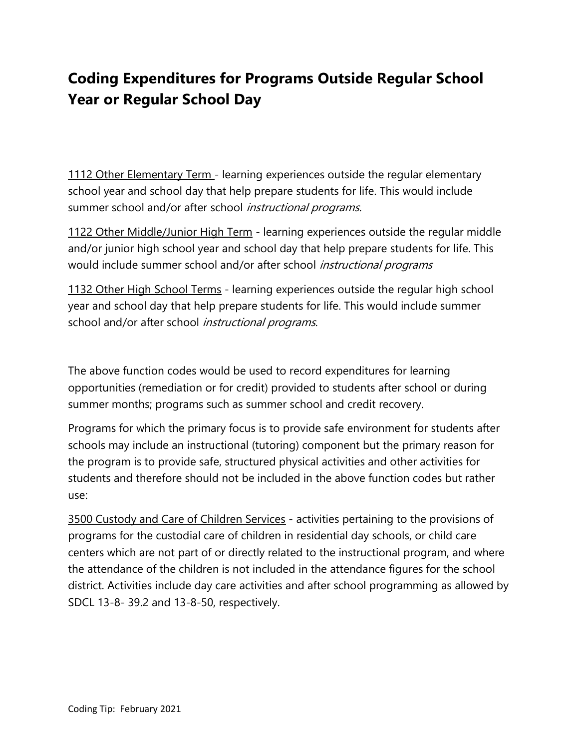## Coding Expenditures for Programs Outside Regular School Year or Regular School Day

1112 Other Elementary Term - learning experiences outside the regular elementary school year and school day that help prepare students for life. This would include summer school and/or after school *instructional programs*.

1122 Other Middle/Junior High Term - learning experiences outside the regular middle and/or junior high school year and school day that help prepare students for life. This would include summer school and/or after school *instructional programs* 

1132 Other High School Terms - learning experiences outside the regular high school year and school day that help prepare students for life. This would include summer school and/or after school *instructional programs*.

The above function codes would be used to record expenditures for learning opportunities (remediation or for credit) provided to students after school or during summer months; programs such as summer school and credit recovery.

Programs for which the primary focus is to provide safe environment for students after schools may include an instructional (tutoring) component but the primary reason for the program is to provide safe, structured physical activities and other activities for students and therefore should not be included in the above function codes but rather use:

3500 Custody and Care of Children Services - activities pertaining to the provisions of programs for the custodial care of children in residential day schools, or child care centers which are not part of or directly related to the instructional program, and where the attendance of the children is not included in the attendance figures for the school district. Activities include day care activities and after school programming as allowed by SDCL 13-8- 39.2 and 13-8-50, respectively.